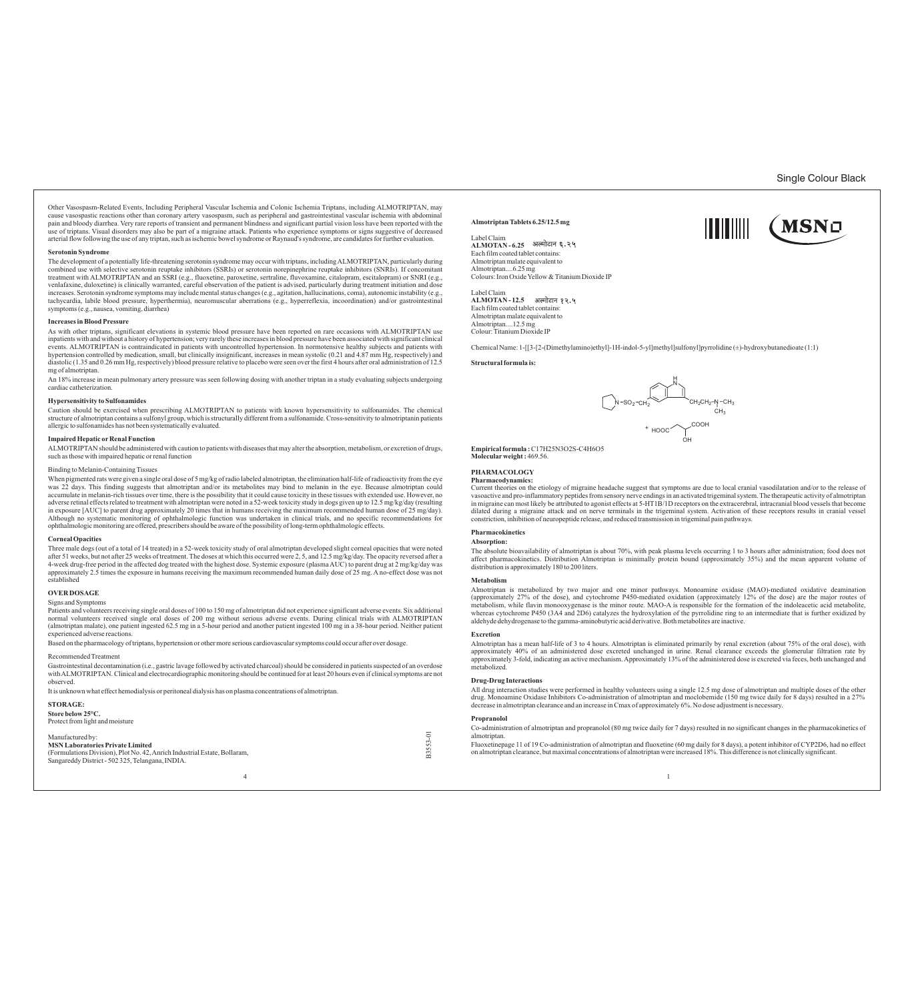Single Colour Black

(MSNo

Other Vasospasm-Related Events, Including Peripheral Vascular Ischemia and Colonic Ischemia Triptans, including ALMOTRIPTAN, may cause vasospastic reactions other than coronary artery vasospasm, such as peripheral and gastrointestinal vascular ischemia with abdominal<br>pain and bloody diarrhea. Very rare reports of transient and permanent blindness an use of triptans. Visual disorders may also be part of a migraine attack. Patients who experience symptoms or signs suggestive of decreased<br>arterial flow following the use of any triptan, such as ischemic bowel syndrome or

# **Serotonin Syndrome**

The development of a potentially life-threatening serotonin syndrome may occur with triptans, including ALMOTRIPTAN, particularly during combined use with selective serotonin reuptake inhibitors (SSRIs) or serotonin norepinephrine reuptake inhibitors (SNRIs). If concomitant treatment with ALMOTRIPTAN and an SSRI (e.g., fluoxetine, paroxetine, parotetine, fl symptoms (e.g., nausea, vomiting, diarrhea)

### **Increases in Blood Pressure**

As with other triptans, significant elevations in systemic blood pressure have been reported on rare occasions with ALMOTRIPTAN use inpatients with and without a history of hypertension; very rarely these increases in blood pressure have been associated with significant clinical<br>events. ALMOTRIPTAN is contraindicated in patients with uncontrolled hyper diastolic (1.35 and 0.26 mm Hg, respectively) blood pressure relative to placebo were seen over the first 4 hours after oral administration of 12.5 mg of almotriptan.

An 18% increase in mean pulmonary artery pressure was seen following dosing with another triptan in a study evaluating subjects undergoing cardiac catheterization.

# **Hypersensitivity to Sulfonamides**

Caution should be exercised when prescribing ALMOTRIPTAN to patients with known hypersensitivity to sulfonamides. The chemical structure of almotriptan contains a sulfonyl group, which is structurally different from a sulfonamide. Cross-sensitivity to almotriptanin patients allergic to sulfonamides has not been systematically evaluated.

#### **Impaired Hepatic or Renal Function**

ALMOTRIPTAN should be administered with caution to patients with diseases that may alter the absorption, metabolism, or excretion of drugs, such as those with impaired hepatic or renal function

## Binding to Melanin-Containing Tissues

When pigmented rats were given a single oral dose of 5 mg/kg of radio labeled almotriptan, the elimination half-life of radioactivity from the eye was 22 days. This finding suggests that almotriptan and/or its metabolites may bind to melanin in the eye. Because almotriptan could<br>accumulate in melanin-rich tissues over time, there is the possibility that it could caus adverse retinal effects related to treatment with almotriptan were noted in a 52-week toxicity study in dogs given up to 12.5 mg/kg/day (resulting<br>in exposure [AUC] to parent drug approximately 20 times that in humans rece Although no systematic monitoring of ophthalmologic function was undertaken in clinical trials, and no specific recommendations for ophthalmologic monitoring are offered, prescribers should be aware of the possibility of long-term ophthalmologic effects.

#### **Corneal Opacities**

Three male dogs (out of a total of 14 treated) in a 52-week toxicity study of oral almotriptan developed slight corneal opacities that were noted after 51 weeks, but not after 25 weeks of treatment. The doses at which this occurred were 2, 5, and 12.5 mg/kg/day. The opacity reversed after a<br>4-week drug-free period in the affected dog treated with the highest dose. S approximately 2.5 times the exposure in humans receiving the maximum recommended human daily dose of 25 mg. A no-effect dose was not established

# **OVER DOSAGE**

Signs and Symptoms<br>Patients and volunteers receiving single oral doses of 100 to 150 mg of almotriptan did not experience significant adverse events. Six additional<br>normal volunteers received single oral doses of 200 mg wi experienced adverse reactions.

Based on the pharmacology of triptans, hypertension or other more serious cardiovascular symptoms could occur after over dosage.

# Recommended Treatment

Gastrointestinal decontamination (i.e., gastric lavage followed by activated charcoal) should be considered in patients suspected of an overdose with ALMOTRIPTAN. Clinical and electrocardiographic monitoring should be continued for at least 20 hours even if clinical symptoms are not observed.

It is unknown what effect hemodialysis or peritoneal dialysis has on plasma concentrations of almotriptan.

## **STORAGE:**

**Store below 25°C.** Protect from light and moisture

ctured by **MSN Laboratories Private Limited** 

(Formulations Division), Plot No. 42, Anrich Industrial Estate, Bollaram, Sangareddy District - 502 325, Telangana, INDIA.



# **Almotriptan Tablets 6.25/12.5 mg**

Label Claim **ALMOTAN - 6.25** Each film coated tablet contains: Almotriptan malate equivalent to Almotriptan....6.25 mg Colours: Iron Oxide Yellow & Titanium Dioxide IP

Label Claim **ALMOTAN - 12.5** Each film coated tablet contains: Almotriptan malate equivalent to Almotriptan....12.5 mg Colour: Titanium Dioxide IP

Chemical Name: 1-[[3-[2-(Dimethylamino)ethyl]-1H-indol-5-yl]methyl]sulfonyl]pyrrolidine (±)-hydroxybutanedioate (1:1)

#### **Structural formula is:**



ITTITIII

**Empirical formula :**C17H25N3O2S-C4H6O5 **Molecularweight :** 469.56.

#### **PHARMACOLOGY**

# **Pharmacodynamics:**

Current theories on the etiology of migraine headache suggest that symptoms are due to local cranial vasodilatation and/or to the release of vasoactive and pro-inflammatory peptides from sensory nerve endings in an activated trigeminal system. The therapeutic activity of almotriptan<br>in migraine can most likely be attributed to agonist effects at 5-HT1B/1D recep dilated during a migraine attack and on nerve terminals in the trigeminal system. Activation of these receptors results in cranial vessel constriction, inhibition of neuropeptide release, and reduced transmission in trigeminal pain pathways.

#### **Pharmacokinetics Absorption:**

The absolute bioavailability of almotriptan is about 70%, with peak plasma levels occurring 1 to 3 hours after administration; food does not affect pharmacokinetics. Distribution Almotriptan is minimally protein bound (approximately 35%) and the mean apparent volume of distribution is approximately 180 to 200 liters.

#### **Metabolism**

Almotriptan is metabolized by two major and one minor pathways. Monoamine oxidase (MAO)-mediated oxidative deamination<br>(approximately 27% of the dose), and cytochrome P450-mediated oxidation (approximately 12% of the dose) whereas cytochrome P450 (3A4 and 2D6) catalyzes the hydroxylation of the pyrrolidine ring to an intermediate that is further oxidized by<br>aldehyde dehydrogenase to the gamma-aminobutyric acid derivative. Both metabolites ar

#### **Excretion**

Almotriptan has a mean half-life of 3 to 4 hours. Almotriptan is eliminated primarily by renal excretion (about 75% of the oral dose), with<br>approximately 40% of an administered dose excreted unchanged in urine. Renal clear approximately 3-fold, indicating an active mechanism. Approximately 13% of the administered dose is excreted via feces, both unchanged and metabolized.

### **Drug-Drug Interactions**

All drug interaction studies were performed in healthy volunteers using a single 12.5 mg dose of almotriptan and multiple doses of the other<br>drug. Monoamine Oxidase Inhibitors Co-administration of almotriptan and moclobemi decrease in almotriptan clearance and an increase in Cmax of approximately 6%. No dose adjustment is necessary.

# **Propranolol**

Co-administration of almotriptan and propranolol (80 mg twice daily for 7 days) resulted in no significant changes in the pharmacokinetics of almotrintan

Fluoxetinepage 11 of 19 Co-administration of almotriptan and fluoxetine (60 mg daily for 8 days), a potent inhibitor of CYP2D6, had no effect on almotriptan clearance, but maximal concentrations of almotriptan were increased 18%. This difference is not clinically significant. 4<br>  $\frac{1}{2}$  almotriptan.<br>
Fluoxetinepage 11 of 19 Co-administration of almotriptan and fluoxetin<br>
on almotriptan clearance, but maximal concentrations of almotriptan wei<br>
4